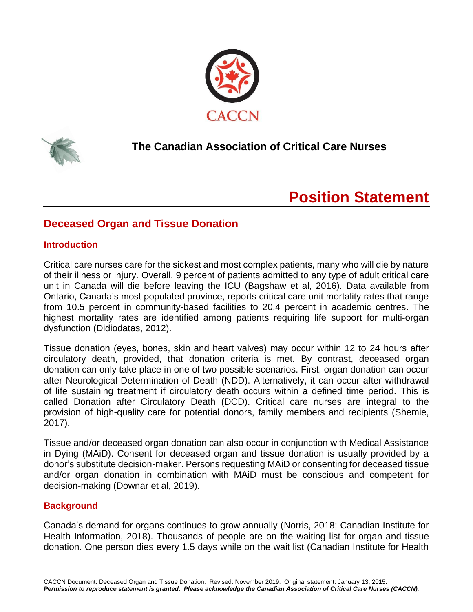



# **The Canadian Association of Critical Care Nurses**

# **Position Statement**

# **Deceased Organ and Tissue Donation**

# **Introduction**

Critical care nurses care for the sickest and most complex patients, many who will die by nature of their illness or injury. Overall, 9 percent of patients admitted to any type of adult critical care unit in Canada will die before leaving the ICU (Bagshaw et al, 2016). Data available from Ontario, Canada's most populated province, reports critical care unit mortality rates that range from 10.5 percent in community-based facilities to 20.4 percent in academic centres. The highest mortality rates are identified among patients requiring life support for multi-organ dysfunction (Didiodatas, 2012).

Tissue donation (eyes, bones, skin and heart valves) may occur within 12 to 24 hours after circulatory death, provided, that donation criteria is met. By contrast, deceased organ donation can only take place in one of two possible scenarios. First, organ donation can occur after Neurological Determination of Death (NDD). Alternatively, it can occur after withdrawal of life sustaining treatment if circulatory death occurs within a defined time period. This is called Donation after Circulatory Death (DCD). Critical care nurses are integral to the provision of high-quality care for potential donors, family members and recipients (Shemie, 2017).

Tissue and/or deceased organ donation can also occur in conjunction with Medical Assistance in Dying (MAiD). Consent for deceased organ and tissue donation is usually provided by a donor's substitute decision-maker. Persons requesting MAiD or consenting for deceased tissue and/or organ donation in combination with MAiD must be conscious and competent for decision-making (Downar et al, 2019).

# **Background**

Canada's demand for organs continues to grow annually (Norris, 2018; Canadian Institute for Health Information, 2018). Thousands of people are on the waiting list for organ and tissue donation. One person dies every 1.5 days while on the wait list (Canadian Institute for Health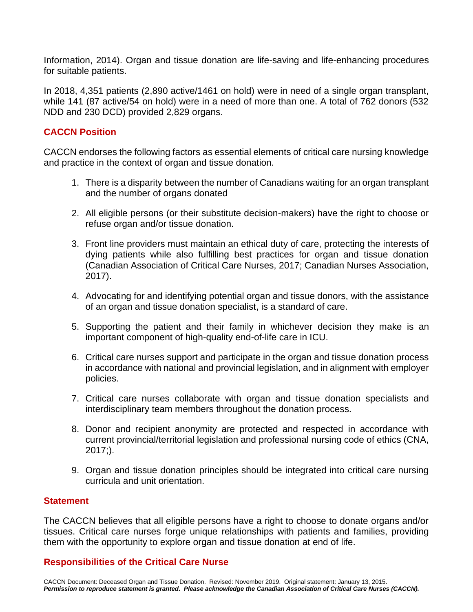Information, 2014). Organ and tissue donation are life-saving and life-enhancing procedures for suitable patients.

In 2018, 4,351 patients (2,890 active/1461 on hold) were in need of a single organ transplant, while 141 (87 active/54 on hold) were in a need of more than one. A total of 762 donors (532 NDD and 230 DCD) provided 2,829 organs.

## **CACCN Position**

CACCN endorses the following factors as essential elements of critical care nursing knowledge and practice in the context of organ and tissue donation.

- 1. There is a disparity between the number of Canadians waiting for an organ transplant and the number of organs donated
- 2. All eligible persons (or their substitute decision-makers) have the right to choose or refuse organ and/or tissue donation.
- 3. Front line providers must maintain an ethical duty of care, protecting the interests of dying patients while also fulfilling best practices for organ and tissue donation (Canadian Association of Critical Care Nurses, 2017; Canadian Nurses Association, 2017).
- 4. Advocating for and identifying potential organ and tissue donors, with the assistance of an organ and tissue donation specialist, is a standard of care.
- 5. Supporting the patient and their family in whichever decision they make is an important component of high-quality end-of-life care in ICU.
- 6. Critical care nurses support and participate in the organ and tissue donation process in accordance with national and provincial legislation, and in alignment with employer policies.
- 7. Critical care nurses collaborate with organ and tissue donation specialists and interdisciplinary team members throughout the donation process.
- 8. Donor and recipient anonymity are protected and respected in accordance with current provincial/territorial legislation and professional nursing code of ethics (CNA, 2017;).
- 9. Organ and tissue donation principles should be integrated into critical care nursing curricula and unit orientation.

#### **Statement**

The CACCN believes that all eligible persons have a right to choose to donate organs and/or tissues. Critical care nurses forge unique relationships with patients and families, providing them with the opportunity to explore organ and tissue donation at end of life.

#### **Responsibilities of the Critical Care Nurse**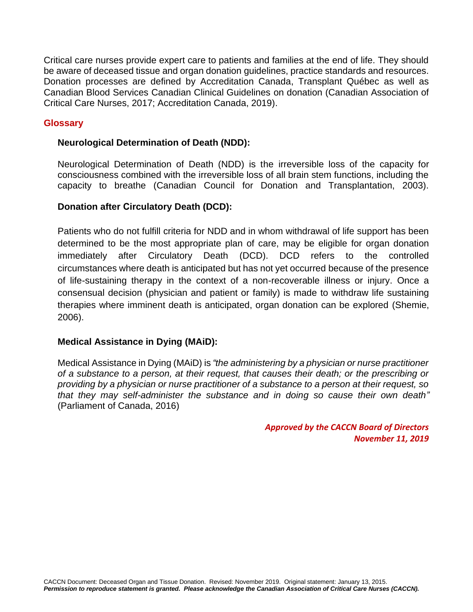Critical care nurses provide expert care to patients and families at the end of life. They should be aware of deceased tissue and organ donation guidelines, practice standards and resources. Donation processes are defined by Accreditation Canada, Transplant Québec as well as Canadian Blood Services Canadian Clinical Guidelines on donation (Canadian Association of Critical Care Nurses, 2017; Accreditation Canada, 2019).

## **Glossary**

#### **Neurological Determination of Death (NDD):**

Neurological Determination of Death (NDD) is the irreversible loss of the capacity for consciousness combined with the irreversible loss of all brain stem functions, including the capacity to breathe (Canadian Council for Donation and Transplantation, 2003).

## **Donation after Circulatory Death (DCD):**

Patients who do not fulfill criteria for NDD and in whom withdrawal of life support has been determined to be the most appropriate plan of care, may be eligible for organ donation immediately after Circulatory Death (DCD). DCD refers to the controlled circumstances where death is anticipated but has not yet occurred because of the presence of life-sustaining therapy in the context of a non-recoverable illness or injury. Once a consensual decision (physician and patient or family) is made to withdraw life sustaining therapies where imminent death is anticipated, organ donation can be explored (Shemie, 2006).

#### **Medical Assistance in Dying (MAiD):**

Medical Assistance in Dying (MAiD) is *"the administering by a physician or nurse practitioner of a substance to a person, at their request, that causes their death; or the prescribing or providing by a physician or nurse practitioner of a substance to a person at their request, so that they may self-administer the substance and in doing so cause their own death"* (Parliament of Canada, 2016)

> *Approved by the CACCN Board of Directors November 11, 2019*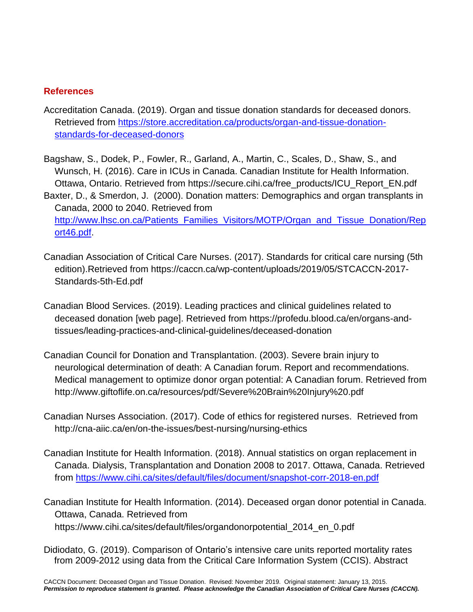# **References**

- Accreditation Canada. (2019). Organ and tissue donation standards for deceased donors. Retrieved from [https://store.accreditation.ca/products/organ-and-tissue-donation](https://store.accreditation.ca/products/organ-and-tissue-donation-standards-for-deceased-donors)[standards-for-deceased-donors](https://store.accreditation.ca/products/organ-and-tissue-donation-standards-for-deceased-donors)
- Bagshaw, S., Dodek, P., Fowler, R., Garland, A., Martin, C., Scales, D., Shaw, S., and Wunsch, H. (2016). Care in ICUs in Canada. Canadian Institute for Health Information. Ottawa, Ontario. Retrieved from https://secure.cihi.ca/free\_products/ICU\_Report\_EN.pdf
- Baxter, D., & Smerdon, J. (2000). Donation matters: Demographics and organ transplants in Canada, 2000 to 2040. Retrieved from [http://www.lhsc.on.ca/Patients\\_Families\\_Visitors/MOTP/Organ\\_and\\_Tissue\\_Donation/Rep](http://www.lhsc.on.ca/Patients_Families_Visitors/MOTP/Organ_and_Tissue_Donation/Report46.pdf) [ort46.pdf.](http://www.lhsc.on.ca/Patients_Families_Visitors/MOTP/Organ_and_Tissue_Donation/Report46.pdf)
- Canadian Association of Critical Care Nurses. (2017). Standards for critical care nursing (5th edition).Retrieved from https://caccn.ca/wp-content/uploads/2019/05/STCACCN-2017- Standards-5th-Ed.pdf
- Canadian Blood Services. (2019). Leading practices and clinical guidelines related to deceased donation [web page]. Retrieved from https://profedu.blood.ca/en/organs-andtissues/leading-practices-and-clinical-guidelines/deceased-donation
- Canadian Council for Donation and Transplantation. (2003). Severe brain injury to neurological determination of death: A Canadian forum. Report and recommendations. Medical management to optimize donor organ potential: A Canadian forum. Retrieved from http://www.giftoflife.on.ca/resources/pdf/Severe%20Brain%20Injury%20.pdf
- Canadian Nurses Association. (2017). Code of ethics for registered nurses. Retrieved from http://cna-aiic.ca/en/on-the-issues/best-nursing/nursing-ethics
- Canadian Institute for Health Information. (2018). Annual statistics on organ replacement in Canada. Dialysis, Transplantation and Donation 2008 to 2017. Ottawa, Canada. Retrieved from <https://www.cihi.ca/sites/default/files/document/snapshot-corr-2018-en.pdf>

Canadian Institute for Health Information. (2014). Deceased organ donor potential in Canada. Ottawa, Canada. Retrieved from https://www.cihi.ca/sites/default/files/organdonorpotential\_2014\_en\_0.pdf

Didiodato, G. (2019). Comparison of Ontario's intensive care units reported mortality rates from 2009-2012 using data from the Critical Care Information System (CCIS). Abstract